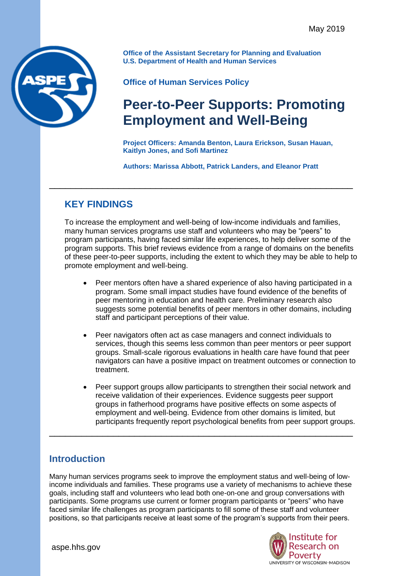

**Office of the Assistant Secretary for Planning and Evaluation U.S. Department of Health and Human Services**

### **Office of Human Services Policy**

# **Peer-to-Peer Supports: Promoting Employment and Well-Being**

**Project Officers: Amanda Benton, Laura Erickson, Susan Hauan, Kaitlyn Jones, and Sofi Martinez**

**Authors: Marissa Abbott, Patrick Landers, and Eleanor Pratt**

# **KEY FINDINGS**

To increase the employment and well-being of low-income individuals and families, many human services programs use staff and volunteers who may be "peers" to program participants, having faced similar life experiences, to help deliver some of the program supports. This brief reviews evidence from a range of domains on the benefits of these peer-to-peer supports, including the extent to which they may be able to help to promote employment and well-being.

\_\_\_\_\_\_\_\_\_\_\_\_\_\_\_\_\_\_\_\_\_\_\_\_\_\_\_\_\_\_\_\_\_\_\_\_\_\_\_\_\_\_\_\_\_\_\_\_\_\_\_\_\_\_\_\_\_

- Peer mentors often have a shared experience of also having participated in a program. Some small impact studies have found evidence of the benefits of peer mentoring in education and health care. Preliminary research also suggests some potential benefits of peer mentors in other domains, including staff and participant perceptions of their value.
- Peer navigators often act as case managers and connect individuals to services, though this seems less common than peer mentors or peer support groups. Small-scale rigorous evaluations in health care have found that peer navigators can have a positive impact on treatment outcomes or connection to treatment.
- Peer support groups allow participants to strengthen their social network and receive validation of their experiences. Evidence suggests peer support groups in fatherhood programs have positive effects on some aspects of employment and well-being. Evidence from other domains is limited, but participants frequently report psychological benefits from peer support groups.

## **Introduction**

Many human services programs seek to improve the employment status and well-being of lowincome individuals and families. These programs use a variety of mechanisms to achieve these goals, including staff and volunteers who lead both one-on-one and group conversations with participants. Some programs use current or former program participants or "peers" who have faced similar life challenges as program participants to fill some of these staff and volunteer positions, so that participants receive at least some of the program's supports from their peers.

\_\_\_\_\_\_\_\_\_\_\_\_\_\_\_\_\_\_\_\_\_\_\_\_\_\_\_\_\_\_\_\_\_\_\_\_\_\_\_\_\_\_\_\_\_\_\_\_\_\_\_\_\_\_\_\_\_

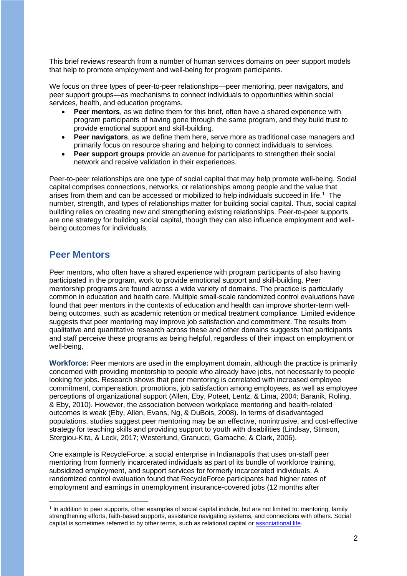This brief reviews research from a number of human services domains on peer support models that help to promote employment and well-being for program participants.

We focus on three types of peer-to-peer relationships—peer mentoring, peer navigators, and peer support groups—as mechanisms to connect individuals to opportunities within social services, health, and education programs.

- **Peer mentors**, as we define them for this brief, often have a shared experience with program participants of having gone through the same program, and they build trust to provide emotional support and skill-building.
- **Peer navigators**, as we define them here, serve more as traditional case managers and primarily focus on resource sharing and helping to connect individuals to services.
- **Peer support groups** provide an avenue for participants to strengthen their social network and receive validation in their experiences.

Peer-to-peer relationships are one type of social capital that may help promote well-being. Social capital comprises connections, networks, or relationships among people and the value that arises from them and can be accessed or mobilized to help individuals succeed in life.<sup>1</sup> The number, strength, and types of relationships matter for building social capital. Thus, social capital building relies on creating new and strengthening existing relationships. Peer-to-peer supports are one strategy for building social capital, though they can also influence employment and wellbeing outcomes for individuals.

## **Peer Mentors**

 $\overline{a}$ 

Peer mentors, who often have a shared experience with program participants of also having participated in the program, work to provide emotional support and skill-building. Peer mentorship programs are found across a wide variety of domains. The practice is particularly common in education and health care. Multiple small-scale randomized control evaluations have found that peer mentors in the contexts of education and health can improve shorter-term wellbeing outcomes, such as academic retention or medical treatment compliance. Limited evidence suggests that peer mentoring may improve job satisfaction and commitment. The results from qualitative and quantitative research across these and other domains suggests that participants and staff perceive these programs as being helpful, regardless of their impact on employment or well-being.

**Workforce:** Peer mentors are used in the employment domain, although the practice is primarily concerned with providing mentorship to people who already have jobs, not necessarily to people looking for jobs. Research shows that peer mentoring is correlated with increased employee commitment, compensation, promotions, job satisfaction among employees, as well as employee perceptions of organizational support (Allen, Eby, Poteet, Lentz, & Lima, 2004; Baranik, Roling, & Eby, 2010). However, the association between workplace mentoring and health-related outcomes is weak (Eby, Allen, Evans, Ng, & DuBois, 2008). In terms of disadvantaged populations, studies suggest peer mentoring may be an effective, nonintrusive, and cost-effective strategy for teaching skills and providing support to youth with disabilities (Lindsay, Stinson, Stergiou-Kita, & Leck, 2017; Westerlund, Granucci, Gamache, & Clark, 2006).

One example is RecycleForce, a social enterprise in Indianapolis that uses on-staff peer mentoring from formerly incarcerated individuals as part of its bundle of workforce training, subsidized employment, and support services for formerly incarcerated individuals. A randomized control evaluation found that RecycleForce participants had higher rates of employment and earnings in unemployment insurance-covered jobs (12 months after

<sup>1</sup> In addition to peer supports, other examples of social capital include, but are not limited to: mentoring, family strengthening efforts, faith-based supports, assistance navigating systems, and connections with others. Social capital is sometimes referred to by other terms, such as relational capital o[r associational life.](https://www.jec.senate.gov/public/index.cfm/republicans/analysis?ID=82AEEDDA-B550-481E-BA31-9623B85A20D6)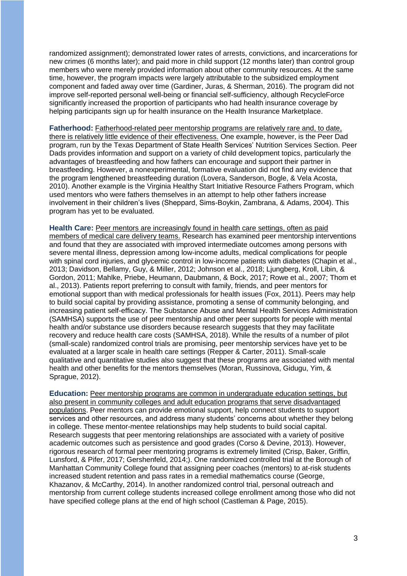randomized assignment); demonstrated lower rates of arrests, convictions, and incarcerations for new crimes (6 months later); and paid more in child support (12 months later) than control group members who were merely provided information about other community resources. At the same time, however, the program impacts were largely attributable to the subsidized employment component and faded away over time (Gardiner, Juras, & Sherman, 2016). The program did not improve self-reported personal well-being or financial self-sufficiency, although RecycleForce significantly increased the proportion of participants who had health insurance coverage by helping participants sign up for health insurance on the Health Insurance Marketplace.

**Fatherhood:** Fatherhood-related peer mentorship programs are relatively rare and, to date, there is relatively little evidence of their effectiveness. One example, however, is the Peer Dad program, run by the Texas Department of State Health Services' Nutrition Services Section. Peer Dads provides information and support on a variety of child development topics, particularly the advantages of breastfeeding and how fathers can encourage and support their partner in breastfeeding. However, a nonexperimental, formative evaluation did not find any evidence that the program lengthened breastfeeding duration (Lovera, Sanderson, Bogle, & Vela Acosta, 2010). Another example is the Virginia Healthy Start Initiative Resource Fathers Program, which used mentors who were fathers themselves in an attempt to help other fathers increase involvement in their children's lives (Sheppard, Sims-Boykin, Zambrana, & Adams, 2004). This program has yet to be evaluated.

Health Care: Peer mentors are increasingly found in health care settings, often as paid members of medical care delivery teams. Research has examined peer mentorship interventions and found that they are associated with improved intermediate outcomes among persons with severe mental illness, depression among low-income adults, medical complications for people with spinal cord injuries, and glycemic control in low-income patients with diabetes (Chapin et al., 2013; Davidson, Bellamy, Guy, & Miller, 2012; Johnson et al., 2018; Ljungberg, Kroll, Libin, & Gordon, 2011; Mahlke, Priebe, Heumann, Daubmann, & Bock, 2017; Rowe et al., 2007; Thom et al., 2013). Patients report preferring to consult with family, friends, and peer mentors for emotional support than with medical professionals for health issues (Fox, 2011). Peers may help to build social capital by providing assistance, promoting a sense of community belonging, and increasing patient self-efficacy. The Substance Abuse and Mental Health Services Administration (SAMHSA) supports the use of peer mentorship and other peer supports for people with mental health and/or substance use disorders because research suggests that they may facilitate recovery and reduce health care costs (SAMHSA, 2018). While the results of a number of pilot (small-scale) randomized control trials are promising, peer mentorship services have yet to be evaluated at a larger scale in health care settings (Repper & Carter, 2011). Small-scale qualitative and quantitative studies also suggest that these programs are associated with mental health and other benefits for the mentors themselves (Moran, Russinova, Gidugu, Yim, & Sprague, 2012).

**Education:** Peer mentorship programs are common in undergraduate education settings, but also present in community colleges and adult education programs that serve disadvantaged populations. Peer mentors can provide emotional support, help connect students to support services and other resources, and address many students' concerns about whether they belong in college. These mentor-mentee relationships may help students to build social capital. Research suggests that peer mentoring relationships are associated with a variety of positive academic outcomes such as persistence and good grades (Corso & Devine, 2013). However, rigorous research of formal peer mentoring programs is extremely limited (Crisp, Baker, Griffin, Lunsford, & Pifer, 2017; Gershenfeld, 2014;). One randomized controlled trial at the Borough of Manhattan Community College found that assigning peer coaches (mentors) to at-risk students increased student retention and pass rates in a remedial mathematics course (George, Khazanov, & McCarthy, 2014). In another randomized control trial, personal outreach and mentorship from current college students increased college enrollment among those who did not have specified college plans at the end of high school (Castleman & Page, 2015).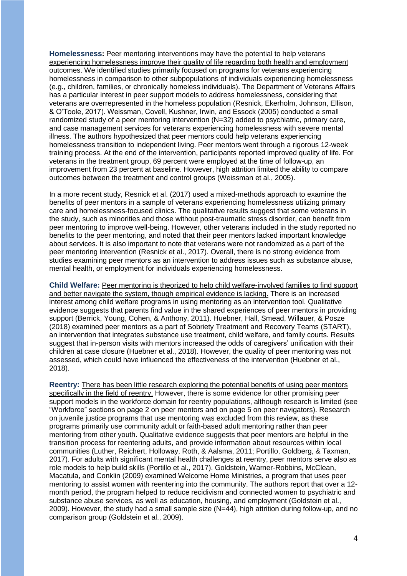**Homelessness:** Peer mentoring interventions may have the potential to help veterans experiencing homelessness improve their quality of life regarding both health and employment outcomes. We identified studies primarily focused on programs for veterans experiencing homelessness in comparison to other subpopulations of individuals experiencing homelessness (e.g., children, families, or chronically homeless individuals). The Department of Veterans Affairs has a particular interest in peer support models to address homelessness, considering that veterans are overrepresented in the homeless population (Resnick, Ekerholm, Johnson, Ellison, & O'Toole, 2017). Weissman, Covell, Kushner, Irwin, and Essock (2005) conducted a small randomized study of a peer mentoring intervention (N=32) added to psychiatric, primary care, and case management services for veterans experiencing homelessness with severe mental illness. The authors hypothesized that peer mentors could help veterans experiencing homelessness transition to independent living. Peer mentors went through a rigorous 12-week training process. At the end of the intervention, participants reported improved quality of life. For veterans in the treatment group, 69 percent were employed at the time of follow-up, an improvement from 23 percent at baseline. However, high attrition limited the ability to compare outcomes between the treatment and control groups (Weissman et al., 2005).

In a more recent study, Resnick et al. (2017) used a mixed-methods approach to examine the benefits of peer mentors in a sample of veterans experiencing homelessness utilizing primary care and homelessness-focused clinics. The qualitative results suggest that some veterans in the study, such as minorities and those without post-traumatic stress disorder, can benefit from peer mentoring to improve well-being. However, other veterans included in the study reported no benefits to the peer mentoring, and noted that their peer mentors lacked important knowledge about services. It is also important to note that veterans were not randomized as a part of the peer mentoring intervention (Resnick et al., 2017). Overall, there is no strong evidence from studies examining peer mentors as an intervention to address issues such as substance abuse, mental health, or employment for individuals experiencing homelessness.

**Child Welfare:** Peer mentoring is theorized to help child welfare-involved families to find support and better navigate the system, though empirical evidence is lacking. There is an increased interest among child welfare programs in using mentoring as an intervention tool. Qualitative evidence suggests that parents find value in the shared experiences of peer mentors in providing support (Berrick, Young, Cohen, & Anthony, 2011). Huebner, Hall, Smead, Willauer, & Posze (2018) examined peer mentors as a part of Sobriety Treatment and Recovery Teams (START), an intervention that integrates substance use treatment, child welfare, and family courts. Results suggest that in-person visits with mentors increased the odds of caregivers' unification with their children at case closure (Huebner et al., 2018). However, the quality of peer mentoring was not assessed, which could have influenced the effectiveness of the intervention (Huebner et al., 2018).

**Reentry:** There has been little research exploring the potential benefits of using peer mentors specifically in the field of reentry. However, there is some evidence for other promising peer support models in the workforce domain for reentry populations, although research is limited (see "Workforce" sections on page 2 on peer mentors and on page 5 on peer navigators). Research on juvenile justice programs that use mentoring was excluded from this review, as these programs primarily use community adult or faith-based adult mentoring rather than peer mentoring from other youth. Qualitative evidence suggests that peer mentors are helpful in the transition process for reentering adults, and provide information about resources within local communities (Luther, Reichert, Holloway, Roth, & Aalsma, 2011; Portillo, Goldberg, & Taxman, 2017). For adults with significant mental health challenges at reentry, peer mentors serve also as role models to help build skills (Portillo et al., 2017). Goldstein, Warner-Robbins, McClean, Macatula, and Conklin (2009) examined Welcome Home Ministries, a program that uses peer mentoring to assist women with reentering into the community. The authors report that over a 12 month period, the program helped to reduce recidivism and connected women to psychiatric and substance abuse services, as well as education, housing, and employment (Goldstein et al., 2009). However, the study had a small sample size (N=44), high attrition during follow-up, and no comparison group (Goldstein et al., 2009).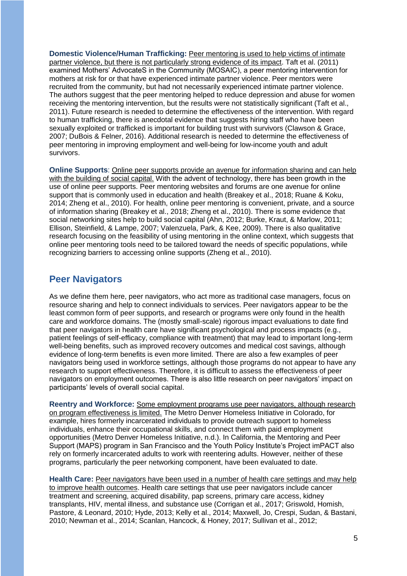**Domestic Violence/Human Trafficking:** Peer mentoring is used to help victims of intimate partner violence, but there is not particularly strong evidence of its impact. Taft et al. (2011) examined Mothers' AdvocateS in the Community (MOSAIC), a peer mentoring intervention for mothers at risk for or that have experienced intimate partner violence. Peer mentors were recruited from the community, but had not necessarily experienced intimate partner violence. The authors suggest that the peer mentoring helped to reduce depression and abuse for women receiving the mentoring intervention, but the results were not statistically significant (Taft et al., 2011). Future research is needed to determine the effectiveness of the intervention. With regard to human trafficking, there is anecdotal evidence that suggests hiring staff who have been sexually exploited or trafficked is important for building trust with survivors (Clawson & Grace, 2007; DuBois & Felner, 2016). Additional research is needed to determine the effectiveness of peer mentoring in improving employment and well-being for low-income youth and adult survivors.

**Online Supports**: Online peer supports provide an avenue for information sharing and can help with the building of social capital. With the advent of technology, there has been growth in the use of online peer supports. Peer mentoring websites and forums are one avenue for online support that is commonly used in education and health (Breakey et al., 2018; Ruane & Koku, 2014; Zheng et al., 2010). For health, online peer mentoring is convenient, private, and a source of information sharing (Breakey et al., 2018; Zheng et al., 2010). There is some evidence that social networking sites help to build social capital (Ahn, 2012; Burke, Kraut, & Marlow, 2011; Ellison, Steinfield, & Lampe, 2007; Valenzuela, Park, & Kee, 2009). There is also qualitative research focusing on the feasibility of using mentoring in the online context, which suggests that online peer mentoring tools need to be tailored toward the needs of specific populations, while recognizing barriers to accessing online supports (Zheng et al., 2010).

### **Peer Navigators**

As we define them here, peer navigators, who act more as traditional case managers, focus on resource sharing and help to connect individuals to services. Peer navigators appear to be the least common form of peer supports, and research or programs were only found in the health care and workforce domains. The (mostly small-scale) rigorous impact evaluations to date find that peer navigators in health care have significant psychological and process impacts (e.g., patient feelings of self-efficacy, compliance with treatment) that may lead to important long-term well-being benefits, such as improved recovery outcomes and medical cost savings, although evidence of long-term benefits is even more limited. There are also a few examples of peer navigators being used in workforce settings, although those programs do not appear to have any research to support effectiveness. Therefore, it is difficult to assess the effectiveness of peer navigators on employment outcomes. There is also little research on peer navigators' impact on participants' levels of overall social capital.

**Reentry and Workforce:** Some employment programs use peer navigators, although research on program effectiveness is limited. The Metro Denver Homeless Initiative in Colorado, for example, hires formerly incarcerated individuals to provide outreach support to homeless individuals, enhance their occupational skills, and connect them with paid employment opportunities (Metro Denver Homeless Initiative, n.d.). In California, the Mentoring and Peer Support (MAPS) program in San Francisco and the Youth Policy Institute's Project imPACT also rely on formerly incarcerated adults to work with reentering adults. However, neither of these programs, particularly the peer networking component, have been evaluated to date.

**Health Care:** Peer navigators have been used in a number of health care settings and may help to improve health outcomes. Health care settings that use peer navigators include cancer treatment and screening, acquired disability, pap screens, primary care access, kidney transplants, HIV, mental illness, and substance use (Corrigan et al., 2017; Griswold, Homish, Pastore, & Leonard, 2010; Hyde, 2013; Kelly et al., 2014; Maxwell, Jo, Crespi, Sudan, & Bastani, 2010; Newman et al., 2014; Scanlan, Hancock, & Honey, 2017; Sullivan et al., 2012;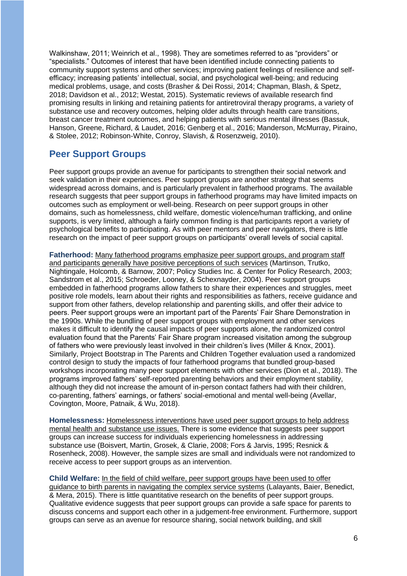Walkinshaw, 2011; Weinrich et al., 1998). They are sometimes referred to as "providers" or "specialists." Outcomes of interest that have been identified include connecting patients to community support systems and other services; improving patient feelings of resilience and selfefficacy; increasing patients' intellectual, social, and psychological well-being; and reducing medical problems, usage, and costs (Brasher & Dei Rossi, 2014; Chapman, Blash, & Spetz, 2018; Davidson et al., 2012; Westat, 2015). Systematic reviews of available research find promising results in linking and retaining patients for antiretroviral therapy programs, a variety of substance use and recovery outcomes, helping older adults through health care transitions, breast cancer treatment outcomes, and helping patients with serious mental illnesses (Bassuk, Hanson, Greene, Richard, & Laudet, 2016; Genberg et al., 2016; Manderson, McMurray, Piraino, & Stolee, 2012; Robinson-White, Conroy, Slavish, & Rosenzweig, 2010).

#### **Peer Support Groups**

Peer support groups provide an avenue for participants to strengthen their social network and seek validation in their experiences. Peer support groups are another strategy that seems widespread across domains, and is particularly prevalent in fatherhood programs. The available research suggests that peer support groups in fatherhood programs may have limited impacts on outcomes such as employment or well-being. Research on peer support groups in other domains, such as homelessness, child welfare, domestic violence/human trafficking, and online supports, is very limited, although a fairly common finding is that participants report a variety of psychological benefits to participating. As with peer mentors and peer navigators, there is little research on the impact of peer support groups on participants' overall levels of social capital.

**Fatherhood:** Many fatherhood programs emphasize peer support groups, and program staff and participants generally have positive perceptions of such services (Martinson, Trutko, Nightingale, Holcomb, & Barnow, 2007; Policy Studies Inc. & Center for Policy Research, 2003; Sandstrom et al., 2015; Schroeder, Looney, & Schexnayder, 2004). Peer support groups embedded in fatherhood programs allow fathers to share their experiences and struggles, meet positive role models, learn about their rights and responsibilities as fathers, receive guidance and support from other fathers, develop relationship and parenting skills, and offer their advice to peers. Peer support groups were an important part of the Parents' Fair Share Demonstration in the 1990s. While the bundling of peer support groups with employment and other services makes it difficult to identify the causal impacts of peer supports alone, the randomized control evaluation found that the Parents' Fair Share program increased visitation among the subgroup of fathers who were previously least involved in their children's lives (Miller & Knox, 2001). Similarly, Project Bootstrap in The Parents and Children Together evaluation used a randomized control design to study the impacts of four fatherhood programs that bundled group-based workshops incorporating many peer support elements with other services (Dion et al., 2018). The programs improved fathers' self-reported parenting behaviors and their employment stability, although they did not increase the amount of in-person contact fathers had with their children, co-parenting, fathers' earnings, or fathers' social-emotional and mental well-being (Avellar, Covington, Moore, Patnaik, & Wu, 2018).

**Homelessness:** Homelessness interventions have used peer support groups to help address mental health and substance use issues. There is some evidence that suggests peer support groups can increase success for individuals experiencing homelessness in addressing substance use (Boisvert, Martin, Grosek, & Clarie, 2008; Fors & Jarvis, 1995; Resnick & Rosenheck, 2008). However, the sample sizes are small and individuals were not randomized to receive access to peer support groups as an intervention.

**Child Welfare:** In the field of child welfare, peer support groups have been used to offer guidance to birth parents in navigating the complex service systems (Lalayants, Baier, Benedict, & Mera, 2015). There is little quantitative research on the benefits of peer support groups. Qualitative evidence suggests that peer support groups can provide a safe space for parents to discuss concerns and support each other in a judgement-free environment. Furthermore, support groups can serve as an avenue for resource sharing, social network building, and skill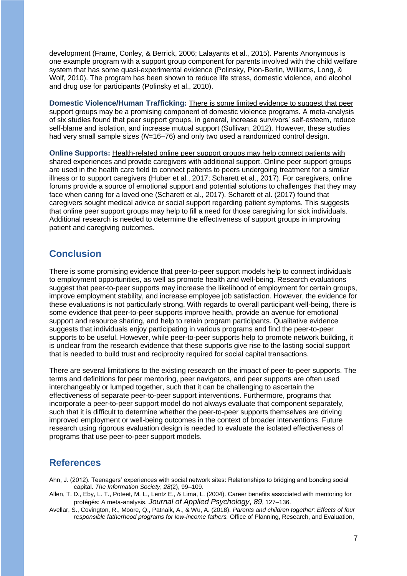development (Frame, Conley, & Berrick, 2006; Lalayants et al., 2015). Parents Anonymous is one example program with a support group component for parents involved with the child welfare system that has some quasi-experimental evidence (Polinsky, Pion-Berlin, Williams, Long, & Wolf, 2010). The program has been shown to reduce life stress, domestic violence, and alcohol and drug use for participants (Polinsky et al., 2010).

**Domestic Violence/Human Trafficking:** There is some limited evidence to suggest that peer support groups may be a promising component of domestic violence programs. A meta-analysis of six studies found that peer support groups, in general, increase survivors' self-esteem, reduce self-blame and isolation, and increase mutual support (Sullivan, 2012). However, these studies had very small sample sizes (*N*=16–76) and only two used a randomized control design.

**Online Supports:** Health-related online peer support groups may help connect patients with shared experiences and provide caregivers with additional support. Online peer support groups are used in the health care field to connect patients to peers undergoing treatment for a similar illness or to support caregivers (Huber et al., 2017; Scharett et al., 2017). For caregivers, online forums provide a source of emotional support and potential solutions to challenges that they may face when caring for a loved one (Scharett et al., 2017). Scharett et al. (2017) found that caregivers sought medical advice or social support regarding patient symptoms. This suggests that online peer support groups may help to fill a need for those caregiving for sick individuals. Additional research is needed to determine the effectiveness of support groups in improving patient and caregiving outcomes.

### **Conclusion**

There is some promising evidence that peer-to-peer support models help to connect individuals to employment opportunities, as well as promote health and well-being. Research evaluations suggest that peer-to-peer supports may increase the likelihood of employment for certain groups, improve employment stability, and increase employee job satisfaction. However, the evidence for these evaluations is not particularly strong. With regards to overall participant well-being, there is some evidence that peer-to-peer supports improve health, provide an avenue for emotional support and resource sharing, and help to retain program participants. Qualitative evidence suggests that individuals enjoy participating in various programs and find the peer-to-peer supports to be useful. However, while peer-to-peer supports help to promote network building, it is unclear from the research evidence that these supports give rise to the lasting social support that is needed to build trust and reciprocity required for social capital transactions.

There are several limitations to the existing research on the impact of peer-to-peer supports. The terms and definitions for peer mentoring, peer navigators, and peer supports are often used interchangeably or lumped together, such that it can be challenging to ascertain the effectiveness of separate peer-to-peer support interventions. Furthermore, programs that incorporate a peer-to-peer support model do not always evaluate that component separately, such that it is difficult to determine whether the peer-to-peer supports themselves are driving improved employment or well-being outcomes in the context of broader interventions. Future research using rigorous evaluation design is needed to evaluate the isolated effectiveness of programs that use peer-to-peer support models.

#### **References**

- Ahn, J. (2012). Teenagers' experiences with social network sites: Relationships to bridging and bonding social capital. *The Information Society*, *28*(2), 99–109.
- Allen, T. D., Eby, L. T., Poteet, M. L., Lentz E., & Lima, L. (2004). Career benefits associated with mentoring for protégés: A meta-analysis. *Journal of Applied Psychology*, *89*, 127–136.
- Avellar, S., Covington, R., Moore, Q., Patnaik, A., & Wu, A. (2018). *Parents and children together: Effects of four responsible fatherhood programs for low-income fathers.* Office of Planning, Research, and Evaluation,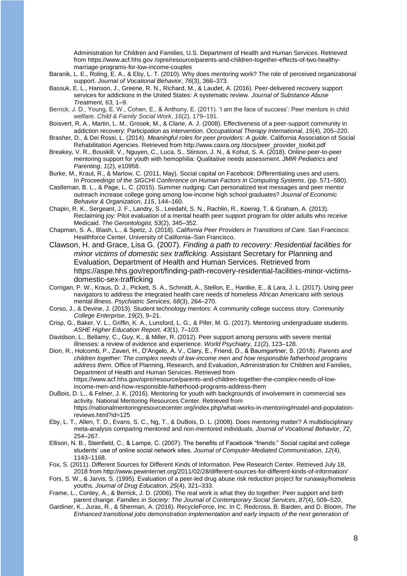Administration for Children and Families, U.S. Department of Health and Human Services. Retrieved from https://www.acf.hhs.gov /opre/resource/parents-and-children-together-effects-of-two-healthymarriage-programs-for-low-income-couples

- Baranik, L. E., Roling, E. A., & Eby, L. T. (2010). Why does mentoring work? The role of perceived organizational support. *Journal of Vocational Behavior*, *76*(3), 366–373.
- Bassuk, E. L., Hanson, J., Greene, R. N., Richard, M., & Laudet, A. (2016). Peer-delivered recovery support services for addictions in the United States: A systematic review. *Journal of Substance Abuse Treatment, 63*, 1–9.

Berrick, J. D., Young, E. W., Cohen, E., & Anthony, E. (2011). 'I am the face of success': Peer mentors in child welfare. *Child & Family Social Work*, *16*(2), 179–191.

- Boisvert, R. A., Martin, L. M., Grosek, M., & Clarie, A. J. (2008). Effectiveness of a peer‐support community in addiction recovery: Participation as intervention. *Occupational Therapy International*, *15*(4), 205–220.
- Brasher, D., & Dei Rossi, L. (2014). *Meaningful roles for peer providers: A guide.* California Association of Social Rehabilitation Agencies. Retrieved from http://www.casra.org /docs/peer\_provider\_toolkit.pdf
- Breakey, V. R., Bouskill, V., Nguyen, C., Luca, S., Stinson, J. N., & Kohut, S. A. (2018). Online peer-to-peer mentoring support for youth with hemophilia: Qualitative needs assessment. *JMIR Pediatrics and Parenting*, *1*(2), e10958.
- Burke, M., Kraut, R., & Marlow, C. (2011, May). Social capital on Facebook: Differentiating uses and users. In *Proceedings of the SIGCHI Conference on Human Factors in Computing Systems*, (pp. 571–580).
- Castleman, B. L., & Page, L. C. (2015). Summer nudging: Can personalized text messages and peer mentor outreach increase college going among low-income high school graduates? *Journal of Economic Behavior & Organization, 115*, 144–160.
- Chapin, R. K., Sergeant, J. F., Landry, S., Leedahl, S. N., Rachlin, R., Koenig, T. & Graham, A. (2013). Reclaiming joy: Pilot evaluation of a mental health peer support program for older adults who receive Medicaid. *The Gerontologist, 53*(2), 345–352.
- Chapman, S. A., Blash, L., & Spetz, J. (2018). *California Peer Providers in Transitions of Care.* San Francisco: Healthforce Center, University of California–San Francisco.
- Clawson, H. and Grace, Lisa G. (2007). *Finding a path to recovery: Residential facilities for minor victims of domestic sex trafficking.* Assistant Secretary for Planning and Evaluation, Department of Health and Human Services. Retrieved from https://aspe.hhs.gov/report/finding-path-recovery-residential-facilities-minor-victimsdomestic-sex-trafficking
- Corrigan, P. W., Kraus, D. J., Pickett, S. A., Schmidt, A., Stellon, E., Hantke, E., & Lara, J. L. (2017). Using peer navigators to address the integrated health care needs of homeless African Americans with serious mental illness. *Psychiatric Services*, *68*(3), 264–270.
- Corso, J., & Devine, J. (2013). Student technology mentors: A community college success story. *Community College Enterprise*, *19*(2), 9–21.
- Crisp, G., Baker, V. L., Griffin, K. A., Lunsford, L. G., & Pifer, M. G. (2017). Mentoring undergraduate students. *ASHE Higher Education Report, 43*(1), 7–103.
- Davidson, L., Bellamy, C., Guy, K., & Miller, R. (2012). Peer support among persons with severe mental illnesses: a review of evidence and experience. *World Psychiatry, 11*(2), 123–128.
- Dion, R., Holcomb, P., Zaveri, H., D'Angelo, A. V., Clary, E., Friend, D., & Baumgartner, S. (2018). *Parents and children together: The complex needs of low-income men and how responsible fatherhood programs address them.* Office of Planning, Research, and Evaluation, Administration for Children and Families, Department of Health and Human Services. Retrieved from https://www.acf.hhs.gov/opre/resource/parents-and-children-together-the-complex-needs-of-lowincome-men-and-how-responsible-fatherhood-programs-address-them
- DuBois, D. L., & Felner, J. K. (2016). Mentoring for youth with backgrounds of involvement in commercial sex activity. National Mentoring Resources Center. Retrieved from https://nationalmentoringresourcecenter.org/index.php/what-works-in-mentoring/model-and-populationreviews.html?id=125
- Eby, L. T., Allen, T. D., Evans, S. C., Ng, T., & DuBois, D. L. (2008). Does mentoring matter? A multidisciplinary meta-analysis comparing mentored and non-mentored individuals. *Journal of Vocational Behavior*, *72*, 254–267.
- Ellison, N. B., Steinfield, C., & Lampe, C. (2007). The benefits of Facebook "friends:" Social capital and college students' use of online social network sites. *Journal of Computer*‐*Mediated Communication*, *12*(4), 1143–1168.
- Fox, S. (2011). Different Sources for Different Kinds of Information. Pew Research Center. Retrieved July 18, 2018 from http://www.pewinternet.org/2011/02/28/different-sources-for-different-kinds-of-information/
- Fors, S. W., & Jarvis, S. (1995). Evaluation of a peer-led drug abuse risk reduction project for runaway/homeless youths. *Journal of Drug Education*, *25*(4), 321–333.
- Frame, L., Conley, A., & Berrick, J. D. (2006). The real work is what they do together: Peer support and birth parent change. *Families in Society: The Journal of Contemporary Social Services*, *87*(4), 509–520.
- Gardiner, K., Juras, R., & Sherman, A. (2016). RecycleForce, Inc. In C. Redcross, B. Barden, and D. Bloom, *The Enhanced transitional jobs demonstration implementation and early impacts of the next generation of*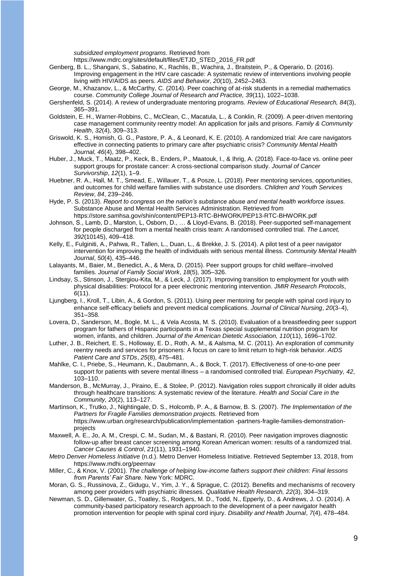*subsidized employment programs*. Retrieved from

https://www.mdrc.org/sites/default/files/ETJD\_STED\_2016\_FR.pdf

- Genberg, B. L., Shangani, S., Sabatino, K., Rachlis, B., Wachira, J., Braitstein, P., & Operario, D. (2016). Improving engagement in the HIV care cascade: A systematic review of interventions involving people living with HIV/AIDS as peers. *AIDS and Behavior*, *20*(10), 2452–2463.
- George, M., Khazanov, L., & McCarthy, C. (2014). Peer coaching of at-risk students in a remedial mathematics course. *Community College Journal of Research and Practice, 39*(11), 1022–1038.
- Gershenfeld, S. (2014). A review of undergraduate mentoring programs. *Review of Educational Research, 84*(3), 365–391.
- Goldstein, E. H., Warner-Robbins, C., McClean, C., Macatula, L., & Conklin, R. (2009). A peer-driven mentoring case management community reentry model: An application for jails and prisons. *Family & Community Health*, *32*(4), 309–313.
- Griswold, K. S., Homish, G. G., Pastore, P. A., & Leonard, K. E. (2010). A randomized trial: Are care navigators effective in connecting patients to primary care after psychiatric crisis? *Community Mental Health Journal, 46*(4), 398–402.
- Huber, J., Muck, T., Maatz, P., Keck, B., Enders, P., Maatouk, I., & Ihrig, A. (2018). Face-to-face vs. online peer support groups for prostate cancer: A cross-sectional comparison study. *Journal of Cancer Survivorship*, *12*(1), 1–9.
- Huebner, R. A., Hall, M. T., Smead, E., Willauer, T., & Posze, L. (2018). Peer mentoring services, opportunities, and outcomes for child welfare families with substance use disorders. *Children and Youth Services Review*, *84*, 239–246.
- Hyde, P. S. (2013). *Report to congress on the nation's substance abuse and mental health workforce issues.* Substance Abuse and Mental Health Services Administration. Retrieved from https://store.samhsa.gov/shin/content/PEP13-RTC-BHWORK/PEP13-RTC-BHWORK.pdf
- Johnson, S., Lamb, D., Marston, L, Osborn, D., … & Lloyd-Evans, B. (2018). Peer-supported self-management for people discharged from a mental health crisis team: A randomised controlled trial. *The Lancet, 392*(10145), 409–418.
- Kelly, E., Fulginiti, A., Pahwa, R., Tallen, L., Duan, L., & Brekke, J. S. (2014). A pilot test of a peer navigator intervention for improving the health of individuals with serious mental illness. *Community Mental Health Journal*, *50*(4), 435–446.
- Lalayants, M., Baier, M., Benedict, A., & Mera, D. (2015). Peer support groups for child welfare–involved families. *Journal of Family Social Work*, *18*(5), 305–326.
- Lindsay, S., Stinson, J., Stergiou-Kita, M., & Leck, J. (2017). Improving transition to employment for youth with physical disabilities: Protocol for a peer electronic mentoring intervention. *JMIR Research Protocols*, *6*(11).
- Ljungberg, I., Kroll, T., Libin, A., & Gordon, S. (2011). Using peer mentoring for people with spinal cord injury to enhance self‐efficacy beliefs and prevent medical complications. *Journal of Clinical Nursing*, *20*(3–4), 351–358.
- Lovera, D., Sanderson, M., Bogle, M. L., & Vela Acosta, M. S. (2010). Evaluation of a breastfeeding peer support program for fathers of Hispanic participants in a Texas special supplemental nutrition program for women, infants, and children. *Journal of the American Dietetic Association, 110*(11), 1696–1702.
- Luther, J. B., Reichert, E. S., Holloway, E. D., Roth, A. M., & Aalsma, M. C. (2011). An exploration of community reentry needs and services for prisoners: A focus on care to limit return to high-risk behavior. *AIDS Patient Care and STDs*, *25*(8), 475–481.
- Mahlke, C. I., Priebe, S., Heumann, K., Daubmann, A., & Bock, T. (2017). Effectiveness of one-to-one peer support for patients with severe mental illness – a randomised controlled trial. *European Psychiatry, 42*, 103–110.
- Manderson, B., McMurray, J., Piraino, E., & Stolee, P. (2012). Navigation roles support chronically ill older adults through healthcare transitions: A systematic review of the literature. *Health and Social Care in the Community, 20*(2), 113–127.
- Martinson, K., Trutko, J., Nightingale, D. S., Holcomb, P. A., & Barnow, B. S. (2007). *The Implementation of the Partners for Fragile Families demonstration projects.* Retrieved from https://www.urban.org/research/publication/implementation -partners-fragile-families-demonstrationprojects
- Maxwell, A. E., Jo, A. M., Crespi, C. M., Sudan, M., & Bastani, R. (2010). Peer navigation improves diagnostic follow-up after breast cancer screening among Korean American women: results of a randomized trial. *Cancer Causes & Control*, *21*(11), 1931–1940.
- *Metro Denver Homeless Initiative* (n.d.). Metro Denver Homeless Initiative. Retrieved September 13, 2018, from https://www.mdhi.org/peernav
- Miller, C., & Knox, V. (2001). *The challenge of helping low-income fathers support their children: Final lessons from Parents' Fair Share.* New York: MDRC.
- Moran, G. S., Russinova, Z., Gidugu, V., Yim, J. Y., & Sprague, C. (2012). Benefits and mechanisms of recovery among peer providers with psychiatric illnesses. *Qualitative Health Research, 22*(3), 304–319.
- Newman, S. D., Gillenwater, G., Toatley, S., Rodgers, M. D., Todd, N., Epperly, D., & Andrews, J. O. (2014). A community-based participatory research approach to the development of a peer navigator health promotion intervention for people with spinal cord injury. *Disability and Health Journal*, *7*(4), 478–484.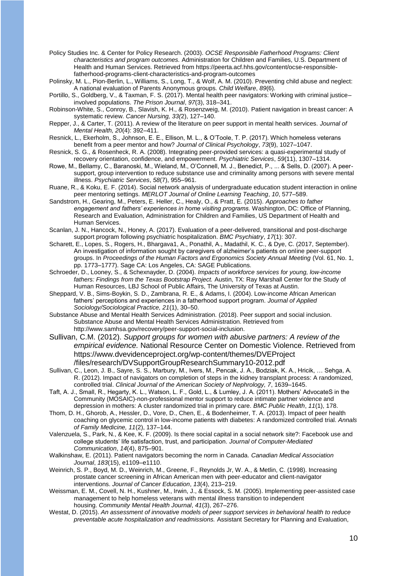Policy Studies Inc. & Center for Policy Research. (2003). *OCSE Responsible Fatherhood Programs: Client characteristics and program outcomes.* Administration for Children and Families, U.S. Department of Health and Human Services. Retrieved from https://peerta.acf.hhs.gov/content/ocse-responsiblefatherhood-programs-client-characteristics-and-program-outcomes

Polinsky, M. L., Pion-Berlin, L., Williams, S., Long, T., & Wolf, A. M. (2010). Preventing child abuse and neglect: A national evaluation of Parents Anonymous groups. *Child Welfare*, *89*(6).

Portillo, S., Goldberg, V., & Taxman, F. S. (2017). Mental health peer navigators: Working with criminal justice– involved populations. *The Prison Journal*, *97*(3), 318–341.

Robinson-White, S., Conroy, B., Slavish, K. H., & Rosenzweig, M. (2010). Patient navigation in breast cancer: A systematic review. *Cancer Nursing, 33(*2), 127–140.

Repper, J., & Carter, T. (2011). A review of the literature on peer support in mental health services. *Journal of Mental Health, 20*(4): 392–411.

Resnick, L., Ekerholm, S., Johnson, E. E., Ellison, M. L., & O'Toole, T. P. (2017). Which homeless veterans benefit from a peer mentor and how? *Journal of Clinical Psychology*, *73*(9), 1027–1047.

Resnick, S. G., & Rosenheck, R. A. (2008). Integrating peer-provided services: a quasi-experimental study of recovery orientation, confidence, and empowerment. *Psychiatric Services*, *59*(11), 1307–1314.

- Rowe, M., Bellamy, C., Baranoski, M., Wieland, M., O'Connell, M. J., Benedict, P., ... & Sells, D. (2007). A peersupport, group intervention to reduce substance use and criminality among persons with severe mental illness. *Psychiatric Services*, *58*(7), 955–961.
- Ruane, R., & Koku, E. F. (2014). Social network analysis of undergraduate education student interaction in online peer mentoring settings. *MERLOT Journal of Online Learning Teaching*, *10*, 577–589.

Sandstrom, H., Gearing, M., Peters, E. Heller, C., Healy, O., & Pratt, E. (2015). *Approaches to father engagement and fathers' experiences in home visiting programs.* Washington, DC: Office of Planning, Research and Evaluation, Administration for Children and Families, US Department of Health and Human Services.

Scanlan, J. N., Hancock, N., Honey, A. (2017). Evaluation of a peer-delivered, transitional and post-discharge support program following psychiatric hospitalization. *BMC Psychiatry*, *17*(1): 307.

Scharett, E., Lopes, S., Rogers, H., Bhargava1, A., Ponathil, A., Madathil, K. C., & Dye, C. (2017, September). An investigation of information sought by caregivers of alzheimer's patients on online peer-support groups. In *Proceedings of the Human Factors and Ergonomics Society Annual Meeting* (Vol. 61, No. 1, pp. 1773–1777). Sage CA: Los Angeles, CA: SAGE Publications.

Schroeder, D., Looney, S., & Schexnayder, D. (2004). *Impacts of workforce services for young, low-income fathers: Findings from the Texas Bootstrap Project.* Austin, TX: Ray Marshall Center for the Study of Human Resources, LBJ School of Public Affairs, The University of Texas at Austin.

Sheppard, V. B., Sims-Boykin, S. D., Zambrana, R. E., & Adams, I. (2004). Low-income African American fathers' perceptions and experiences in a fatherhood support program. *Journal of Applied Sociology/Sociological Practice, 21*(1), 30–50.

Substance Abuse and Mental Health Services Administration. (2018). Peer support and social inclusion. Substance Abuse and Mental Health Services Administration. Retrieved from http://www.samhsa.gov/recovery/peer-support-social-inclusion.

Sullivan, C.M. (2012). *Support groups for women with abusive partners: A review of the empirical evidence.* National Resource Center on Domestic Violence. Retrieved from https://www.dvevidenceproject.org/wp-content/themes/DVEProject /files/research/DVSupportGroupResearchSummary10-2012.pdf

Sullivan, C., Leon, J. B., Sayre, S. S., Marbury, M., Ivers, M., Pencak, J. A., Bodziak, K. A., Hricik, … Sehga, A. R. (2012). Impact of navigators on completion of steps in the kidney transplant process: A randomized, controlled trial. *Clinical Journal of the American Society of Nephrology, 7*, 1639–1645.

Taft, A. J., Small, R., Hegarty, K. L., Watson, L. F., Gold, L., & Lumley, J. A. (2011). Mothers' AdvocateS in the Community (MOSAIC)-non-professional mentor support to reduce intimate partner violence and depression in mothers: A cluster randomized trial in primary care. *BMC Public Health*, *11*(1), 178.

Thom, D. H., Ghorob, A., Hessler, D., Vore, D., Chen, E., & Bodenheimer, T. A. (2013). Impact of peer health coaching on glycemic control in low-income patients with diabetes: A randomized controlled trial. *Annals of Family Medicine, 11*(2), 137–144.

Valenzuela, S., Park, N., & Kee, K. F. (2009). Is there social capital in a social network site?: Facebook use and college students' life satisfaction, trust, and participation. *Journal of Computer-Mediated Communication*, *14*(4), 875–901.

Walkinshaw, E. (2011). Patient navigators becoming the norm in Canada. *Canadian Medical Association Journal*, *183*(15), e1109–e1110.

Weinrich, S. P., Boyd, M. D., Weinrich, M., Greene, F., Reynolds Jr, W. A., & Metlin, C. (1998). Increasing prostate cancer screening in African American men with peer‐educator and client‐navigator interventions. *Journal of Cancer Education*, *13*(4), 213–219.

Weissman, E. M., Covell, N. H., Kushner, M., Irwin, J., & Essock, S. M. (2005). Implementing peer-assisted case management to help homeless veterans with mental illness transition to independent housing. *Community Mental Health Journal*, *41*(3), 267–276.

Westat, D. (2015). *An assessment of innovative models of peer support services in behavioral health to reduce preventable acute hospitalization and readmissions.* Assistant Secretary for Planning and Evaluation,